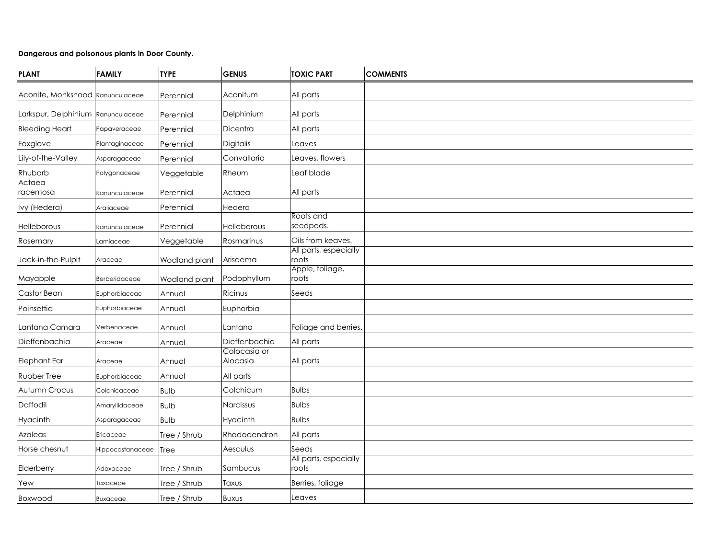# **Dangerous and poisonous plants in Door County.**

| <b>PLANT</b>                       | <b>FAMILY</b>    | <b>TYPE</b>   | <b>GENUS</b>             | <b>TOXIC PART</b>              | <b>COMMENTS</b> |
|------------------------------------|------------------|---------------|--------------------------|--------------------------------|-----------------|
| Aconite, Monkshood   Ranunculaceae |                  | Perennial     | Aconitum                 | All parts                      |                 |
| Larkspur, Delphinium               | Ranunculaceae    | Perennial     | Delphinium               | All parts                      |                 |
| <b>Bleeding Heart</b>              | Papaveraceae     | Perennial     | Dicentra                 | All parts                      |                 |
| Foxglove                           | Plantaginaceae   | Perennial     | Digitalis                | Leaves                         |                 |
| Lily-of-the-Valley                 | Asparagaceae     | Perennial     | Convallaria              | Leaves, flowers                |                 |
| Rhubarb                            | Polygonaceae     | Veggetable    | Rheum                    | Leaf blade                     |                 |
| Actaea<br>racemosa                 | Ranunculaceae    | Perennial     | Actaea                   | All parts                      |                 |
| Ivy (Hedera)                       | Araliaceae       | Perennial     | Hedera                   |                                |                 |
| Helleborous                        | Ranunculaceae    | Perennial     | Helleborous              | Roots and<br>seedpods.         |                 |
| Rosemary                           | Lamiaceae        | Veggetable    | Rosmarinus               | Oils from keaves.              |                 |
| Jack-in-the-Pulpit                 | Araceae          | Wodland plant | Arisaema                 | All parts, especially<br>roots |                 |
| Mayapple                           | Berberidaceae    | Wodland plant | Podophyllum              | Apple, foliage,<br>roots       |                 |
| Castor Bean                        | Euphorbiaceae    | Annual        | Ricinus                  | Seeds                          |                 |
| Poinsettia                         | Euphorbiaceae    | Annual        | Euphorbia                |                                |                 |
| Lantana Camara                     | Verbenaceae      | Annual        | Lantana                  | Foliage and berries.           |                 |
| Dieffenbachia                      | Araceae          | Annual        | Dieffenbachia            | All parts                      |                 |
| Elephant Ear                       | Araceae          | Annual        | Colocasia or<br>Alocasia | All parts                      |                 |
| Rubber Tree                        | Euphorbiaceae    | Annual        | All parts                |                                |                 |
| Autumn Crocus                      | Colchicaceae     | <b>Bulb</b>   | Colchicum                | <b>Bulbs</b>                   |                 |
| Daffodil                           | Amaryllidaceae   | <b>Bulb</b>   | Narcissus                | <b>Bulbs</b>                   |                 |
| Hyacinth                           | Asparagaceae     | <b>Bulb</b>   | Hyacinth                 | <b>Bulbs</b>                   |                 |
| Azaleas                            | Ericaceae        | Tree / Shrub  | Rhododendron             | All parts                      |                 |
| Horse chesnut                      | Hippocastanaceae | <b>Tree</b>   | Aesculus                 | Seeds                          |                 |
| Elderberry                         | Adoxaceae        | Tree / Shrub  | Sambucus                 | All parts, especially<br>roots |                 |
| Yew                                | Taxaceae         | Tree / Shrub  | Taxus                    | Berries, foliage               |                 |
| Boxwood                            | <b>Buxaceae</b>  | Tree / Shrub  | <b>BUXUS</b>             | Leaves                         |                 |